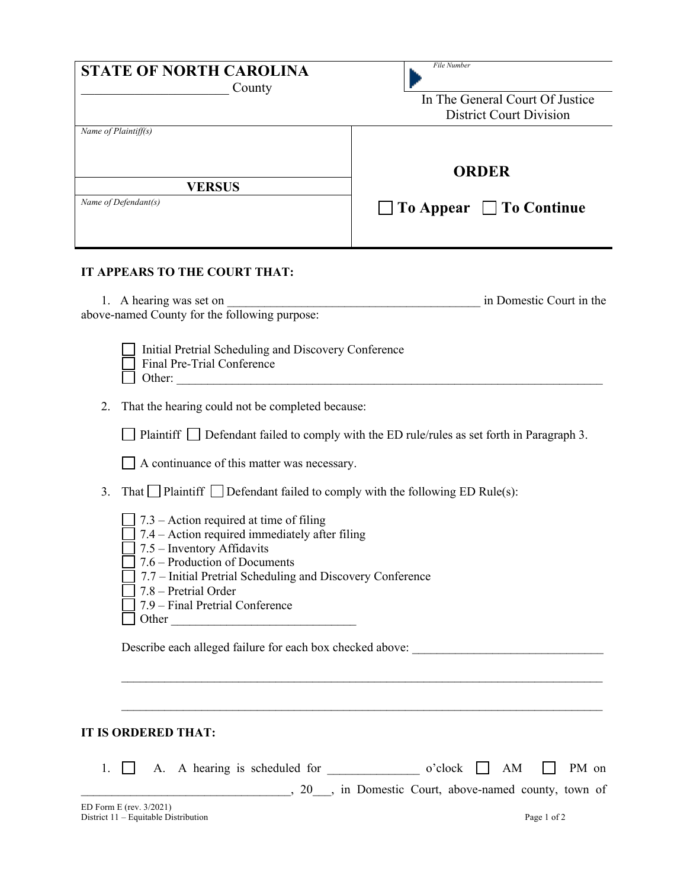| <b>STATE OF NORTH CAROLINA</b><br>County                                                                                         | File Number<br>In The General Court Of Justice<br><b>District Court Division</b> |
|----------------------------------------------------------------------------------------------------------------------------------|----------------------------------------------------------------------------------|
| Name of Plaintiff(s)                                                                                                             | <b>ORDER</b>                                                                     |
| <b>VERSUS</b><br>Name of Defendant(s)                                                                                            | $\Box$ To Appear $\Box$ To Continue                                              |
| IT APPEARS TO THE COURT THAT:                                                                                                    |                                                                                  |
| 1. A hearing was set on<br>above-named County for the following purpose:<br>Initial Pretrial Scheduling and Discovery Conference | in Domestic Court in the                                                         |

|        | Final Pre-Trial Conference |  |  |
|--------|----------------------------|--|--|
| Other: |                            |  |  |
|        |                            |  |  |

2. That the hearing could not be completed because:

|  | $\Box$ Plaintiff $\Box$ Defendant failed to comply with the ED rule/rules as set forth in Paragraph 3. |  |  |  |  |
|--|--------------------------------------------------------------------------------------------------------|--|--|--|--|
|--|--------------------------------------------------------------------------------------------------------|--|--|--|--|

A continuance of this matter was necessary.

- 3. That Plaintiff Defendant failed to comply with the following ED Rule(s):
	- $\Box$  7.3 Action required at time of filing
	- $\Box$  7.4 Action required immediately after filing
	- $\Box$  7.5 Inventory Affidavits
	- $\Box$  7.6 Production of Documents
	- 7.7 Initial Pretrial Scheduling and Discovery Conference
	- 7.8 Pretrial Order
	- $\Box$  7.9 Final Pretrial Conference  $\Box$  Other

Describe each alleged failure for each box checked above:

## **IT IS ORDERED THAT:**

ED Form E (rev. 3/2021) 1.  $\Box$  A. A hearing is scheduled for  $\Box$  o'clock  $\Box$  AM  $\Box$  PM on \_\_\_\_\_\_\_\_\_\_\_\_\_\_\_\_\_\_\_\_\_\_\_\_\_\_\_\_\_\_\_\_\_\_, 20\_\_\_, in Domestic Court, above-named county, town of

 $\_$